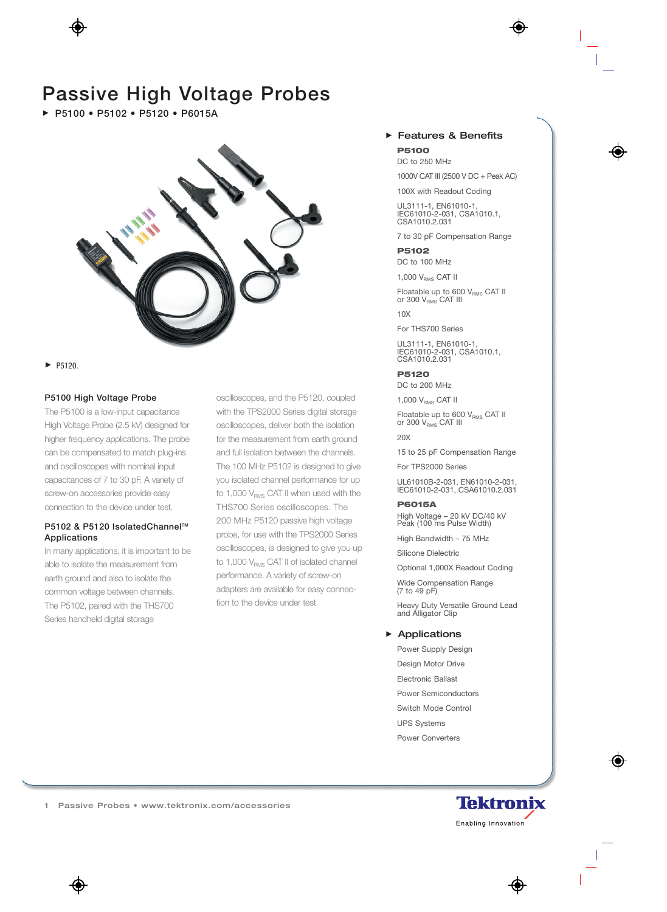# **Passive High Voltage Probes**

**P5100 • P5102 • P5120 • P6015A** 



P5120.

### **P5100 High Voltage Probe**

The P5100 is a low-input capacitance High Voltage Probe (2.5 kV) designed for higher frequency applications. The probe can be compensated to match plug-ins and oscilloscopes with nominal input capacitances of 7 to 30 pF. A variety of screw-on accessories provide easy connection to the device under test.

# **P5102 & P5120 IsolatedChannel™ Applications**

In many applications, it is important to be able to isolate the measurement from earth ground and also to isolate the common voltage between channels. The P5102, paired with the THS700 Series handheld digital storage

oscilloscopes, and the P5120, coupled with the TPS2000 Series digital storage oscilloscopes, deliver both the isolation for the measurement from earth ground and full isolation between the channels. The 100 MHz P5102 is designed to give you isolated channel performance for up to 1,000  $V_{RMS}$  CAT II when used with the THS700 Series oscilloscopes. The 200 MHz P5120 passive high voltage probe, for use with the TPS2000 Series oscilloscopes, is designed to give you up to 1,000  $V<sub>RMS</sub>$  CAT II of isolated channel performance. A variety of screw-on adapters are available for easy connection to the device under test.

### Features & Benefits **P5100**

DC to 250 MHz

1000V CAT III (2500 V DC + Peak AC)

100X with Readout Coding

UL3111-1, EN61010-1, IEC61010-2-031, CSA1010.1, CSA1010.2.031

7 to 30 pF Compensation Range

**P5102**  DC to 100 MHz

1,000 V<sub>RMS</sub> CAT II

Floatable up to 600  $V_{RMS}$  CAT II or 300  $V_{\text{RMS}}$  CAT III

10X

For THS700 Series

UL3111-1, EN61010-1, IEC61010-2-031, CSA1010.1, CSA1010.2.031

#### **P5120**

DC to 200 MHz

1,000 V<sub>RMS</sub> CAT II

Floatable up to 600  $V_{\text{RMS}}$  CAT II or  $300 V_{\text{RMS}}$  CAT III

20X

15 to 25 pF Compensation Range

For TPS2000 Series

UL61010B-2-031, EN61010-2-031, IEC61010-2-031, CSA61010.2.031

#### **P6015A**

High Voltage – 20 kV DC/40 kV Peak (100 ms Pulse Width)

High Bandwidth – 75 MHz

Silicone Dielectric

Optional 1,000X Readout Coding

Wide Compensation Range (7 to 49 pF)

Heavy Duty Versatile Ground Lead and Alligator Clip

#### ▶ Applications

Power Supply Design Design Motor Drive Electronic Ballast Power Semiconductors Switch Mode Control UPS Systems Power Converters

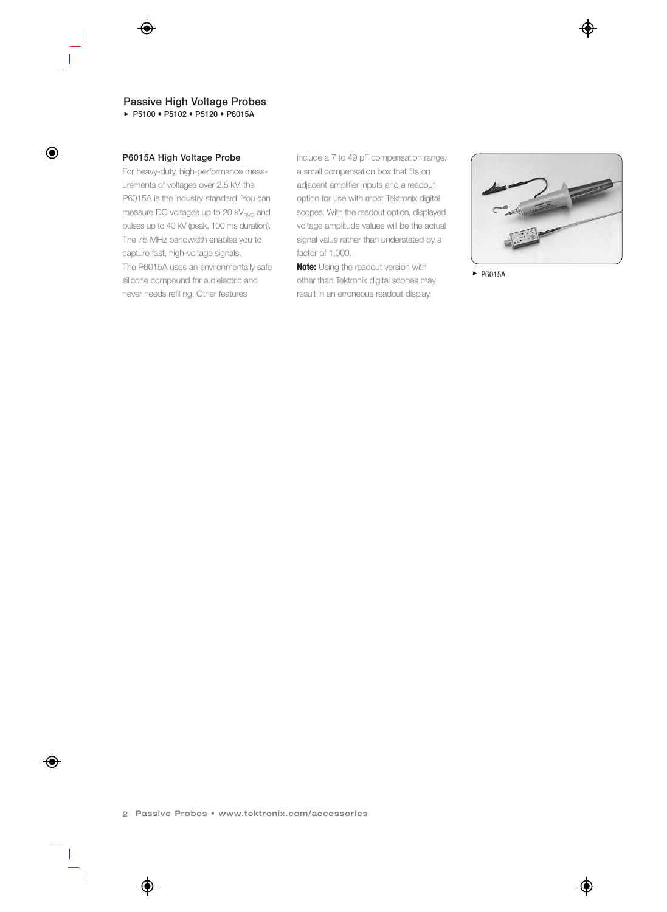# **Passive High Voltage Probes**

**P5100 • P5102 • P5120 • P6015A**

#### **P6015A High Voltage Probe**

For heavy-duty, high-performance measurements of voltages over 2.5 kV, the P6015A is the industry standard. You can measure DC voltages up to 20 kV<sub>RMS</sub> and pulses up to 40 kV (peak, 100 ms duration). The 75 MHz bandwidth enables you to capture fast, high-voltage signals. The P6015A uses an environmentally safe silicone compound for a dielectric and never needs refilling. Other features

include a 7 to 49 pF compensation range, a small compensation box that fits on adjacent amplifier inputs and a readout option for use with most Tektronix digital scopes. With the readout option, displayed voltage amplitude values will be the actual signal value rather than understated by a factor of 1,000.

**Note:** Using the readout version with other than Tektronix digital scopes may result in an erroneous readout display.



▶ P6015A.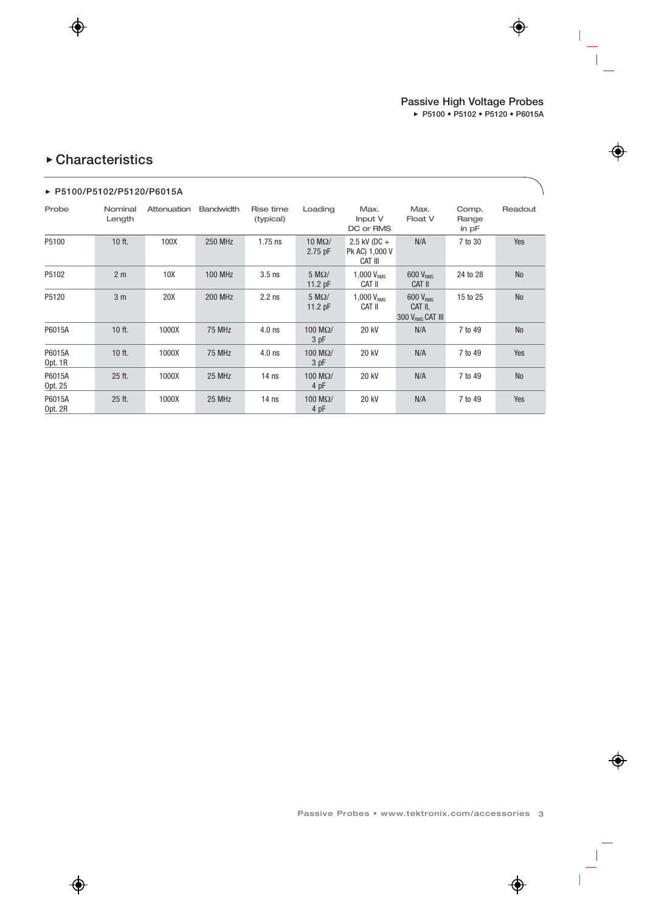# **Characteristics**

### **P5100/P5102/P5120/P6015A**

| Probe             | Nominal<br>Length | Attenuation | <b>Bandwidth</b> | Rise time<br>(typical) | Loading                          | Max.<br>Input V<br>DC or RMS                | Max.<br>Float V                                          | Comp.<br>Range<br>in $pF$ | Readout   |
|-------------------|-------------------|-------------|------------------|------------------------|----------------------------------|---------------------------------------------|----------------------------------------------------------|---------------------------|-----------|
| P5100             | $10$ ft.          | 100X        | <b>250 MHz</b>   | $1.75$ ns              | $10 \text{ M}\Omega/$<br>2.75 pF | $2.5$ kV (DC +<br>Pk AC) 1,000 V<br>CAT III | N/A                                                      | 7 to 30                   | Yes       |
| P5102             | 2 <sub>m</sub>    | 10X         | <b>100 MHz</b>   | $3.5$ ns               | $5 M\Omega$<br>11.2 $pF$         | 1,000V <sub>RMS</sub><br>Cat II             | 600 V <sub>RMS</sub><br>CAT II                           | 24 to 28                  | <b>No</b> |
| P5120             | 3 <sub>m</sub>    | 20X         | <b>200 MHz</b>   | $2.2$ ns               | $5 M\Omega$<br>11.2 $pF$         | 1,000V <sub>RMS</sub><br>CAT II             | 600 V <sub>RMS</sub><br>CAT II,<br>300 $V_{RMS}$ CAT III | 15 to 25                  | <b>No</b> |
| P6015A            | 10 ft.            | 1000X       | 75 MHz           | $4.0$ ns               | $100$ M $\Omega/$<br>3 pF        | 20 kV                                       | N/A                                                      | 7 to 49                   | <b>No</b> |
| P6015A<br>Opt. 1R | $10$ ft.          | 1000X       | 75 MHz           | $4.0$ ns               | $100$ M $\Omega/$<br>3 pF        | 20 kV                                       | N/A                                                      | 7 to 49                   | Yes       |
| P6015A<br>Opt. 25 | 25 ft.            | 1000X       | 25 MHz           | 14 <sub>ns</sub>       | $100$ M $\Omega/$<br>4 pF        | 20 kV                                       | N/A                                                      | 7 to 49                   | <b>No</b> |
| P6015A<br>Opt. 2R | $25$ ft.          | 1000X       | 25 MHz           | 14 <sub>ns</sub>       | $100$ M $\Omega/$<br>4 pF        | 20 kV                                       | N/A                                                      | 7 to 49                   | Yes       |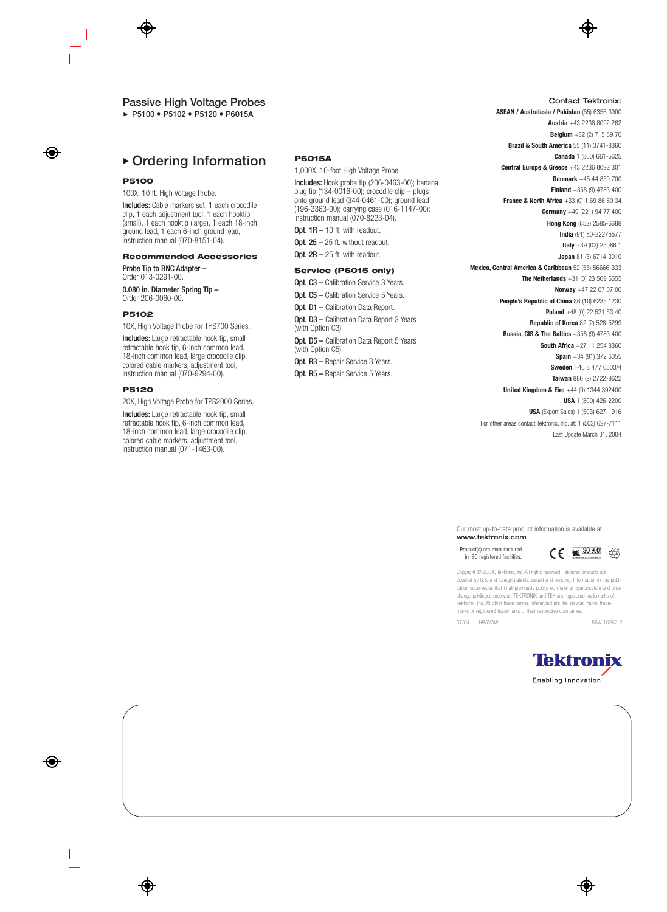#### **Passive High Voltage Probes**

**P5100 • P5102 • P5120 • P6015A**

# **Ordering Information**

#### **P5100**

100X, 10 ft. High Voltage Probe.

Includes: Cable markers set, 1 each crocodile clip, 1 each adjustment tool, 1 each hooktip (small), 1 each hooktip (large), 1 each 18-inch ground lead, 1 each 6-inch ground lead, instruction manual (070-8151-04).

#### **Recommended Accessories**

Probe Tip to BNC Adapter – Order 013-0291-00.

0.080 in. Diameter Spring Tip – Order 206-0060-00.

#### **P5102**

10X, High Voltage Probe for THS700 Series.

Includes: Large retractable hook tip, small retractable hook tip, 6-inch common lead, 18-inch common lead, large crocodile clip, colored cable markers, adjustment tool, instruction manual (070-9294-00).

#### **P5120**

20X, High Voltage Probe for TPS2000 Series.

Includes: Large retractable hook tip, small retractable hook tip, 6-inch common lead, 18-inch common lead, large crocodile clip, colored cable markers, adjustment tool, instruction manual (071-1463-00).

#### **P6015A**

1,000X, 10-foot High Voltage Probe.

Includes: Hook probe tip (206-0463-00); banana plug tip (134-0016-00); crocodile clip – plugs onto ground lead (344-0461-00); ground lead (196-3363-00); carrying case (016-1147-00); instruction manual (070-8223-04).

Opt.  $1R - 10$  ft. with readout.

Opt.  $25 - 25$  ft. without readout.

Opt.  $2R - 25$  ft. with readout.

#### **Service (P6015 only)**

Opt. C3 - Calibration Service 3 Years. Opt. C5 - Calibration Service 5 Years. Opt. D1 - Calibration Data Report. Opt. D3 - Calibration Data Report 3 Years

(with Option C3). **Opt. D5 – Calibration Data Report 5 Years** (with Option C5).

Opt. R3 - Repair Service 3 Years.

Opt. R5 - Repair Service 5 Years.

#### **ASEAN / Australasia / Pakistan** (65) 6356 3900 **Austria** +43 2236 8092 262 **Belgium** +32 (2) 715 89 70 **Brazil & South America** 55 (11) 3741-8360 **Canada** 1 (800) 661-5625

Contact Tektronix:

**Central Europe & Greece** +43 2236 8092 301

**Denmark** +45 44 850 700

**Finland** +358 (9) 4783 400 **France & North Africa** +33 (0) 1 69 86 80 34

**Germany** +49 (221) 94 77 400

**Hong Kong** (852) 2585-6688

**India** (91) 80-22275577

**Italy** +39 (02) 25086 1

**Japan** 81 (3) 6714-3010

**Mexico, Central America & Caribbean** 52 (55) 56666-333

**The Netherlands** +31 (0) 23 569 5555 **Norway** +47 22 07 07 00

**People's Republic of China** 86 (10) 6235 1230

**Poland** +48 (0) 22 521 53 40

**Republic of Korea** 82 (2) 528-5299

**Russia, CIS & The Baltics** +358 (9) 4783 400

**South Africa** +27 11 254 8360

**Spain** +34 (91) 372 6055

**Sweden** +46 8 477 6503/4

**Taiwan** 886 (2) 2722-9622

**United Kingdom & Eire** +44 (0) 1344 392400 **USA** 1 (800) 426-2200

**USA** (Export Sales) 1 (503) 627-1916

For other areas contact Tektronix, Inc. at: 1 (503) 627-7111 Last Update March 01, 2004

Our most up-to-date product information is available at: www.tektronix.com

Product(s) are manufactured in ISO registered facilities.



Copyright © 2004, Tektronix, Inc. All rights reserved. Tektronix products are covered by U.S. and foreign patents, issued and pending. Information in this publication supersedes that in all previously published material. Specification and price change privileges reserved. TEKTRONIX and TEK are registered trademarks of Tektronix, Inc. All other trade names referenced are the service marks, trademarks or registered trademarks of their respective companies.

07/04 HB/WOW 56W-10262-2